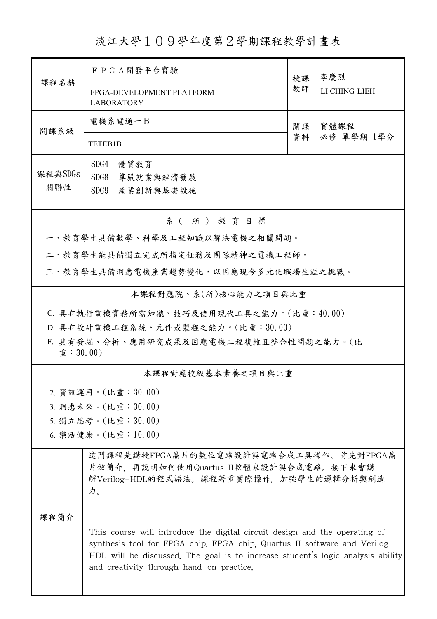淡江大學109學年度第2學期課程教學計畫表

| 課程名稱                                                                     | F P G A 開發平台實驗<br>授課                                                                                                                                                                                                                                                                  |    | 李慶烈           |  |  |
|--------------------------------------------------------------------------|---------------------------------------------------------------------------------------------------------------------------------------------------------------------------------------------------------------------------------------------------------------------------------------|----|---------------|--|--|
|                                                                          | FPGA-DEVELOPMENT PLATFORM<br><b>LABORATORY</b>                                                                                                                                                                                                                                        |    | LI CHING-LIEH |  |  |
| 開課系級                                                                     | 電機系電通一B                                                                                                                                                                                                                                                                               | 開課 | 實體課程          |  |  |
|                                                                          | TETEB1B                                                                                                                                                                                                                                                                               | 資料 | 必修 單學期 1學分    |  |  |
| 課程與SDGs<br>關聯性                                                           | SDG4<br>優質教育<br>SDG8<br>尊嚴就業與經濟發展<br>SDG9<br>產業創新與基礎設施                                                                                                                                                                                                                                |    |               |  |  |
| 系(所)教育目標                                                                 |                                                                                                                                                                                                                                                                                       |    |               |  |  |
| 一、教育學生具備數學、科學及工程知識以解決電機之相關問題。                                            |                                                                                                                                                                                                                                                                                       |    |               |  |  |
| 二、教育學生能具備獨立完成所指定任務及團隊精神之電機工程師。                                           |                                                                                                                                                                                                                                                                                       |    |               |  |  |
| 三、教育學生具備洞悉電機產業趨勢變化,以因應現今多元化職場生涯之挑戰。                                      |                                                                                                                                                                                                                                                                                       |    |               |  |  |
| 本課程對應院、系(所)核心能力之項目與比重                                                    |                                                                                                                                                                                                                                                                                       |    |               |  |  |
| C. 具有執行電機實務所需知識、技巧及使用現代工具之能力。(比重:40.00)                                  |                                                                                                                                                                                                                                                                                       |    |               |  |  |
|                                                                          | D. 具有設計電機工程系統、元件或製程之能力。(比重:30.00)                                                                                                                                                                                                                                                     |    |               |  |  |
| F. 具有發掘、分析、應用研究成果及因應電機工程複雜且整合性問題之能力。(比<br>$\hat{\mathbf{\Psi}}$ : 30.00) |                                                                                                                                                                                                                                                                                       |    |               |  |  |
| 本課程對應校級基本素養之項目與比重                                                        |                                                                                                                                                                                                                                                                                       |    |               |  |  |
|                                                                          | 2. 資訊運用。(比重:30.00)                                                                                                                                                                                                                                                                    |    |               |  |  |
| 3. 洞悉未來。(比重:30.00)                                                       |                                                                                                                                                                                                                                                                                       |    |               |  |  |
| 5. 獨立思考。(比重:30.00)                                                       |                                                                                                                                                                                                                                                                                       |    |               |  |  |
| 6. 樂活健康。(比重:10.00)                                                       |                                                                                                                                                                                                                                                                                       |    |               |  |  |
| 课程简介                                                                     | 這門課程是講授FPGA晶片的數位電路設計與電路合成工具操作。首先對FPGA晶<br>片做簡介,再說明如何使用Quartus II軟體來設計與合成電路。接下來會講<br>解Verilog-HDL的程式語法。課程著重實際操作, 加強學生的邏輯分析與創造<br>力。                                                                                                                                                    |    |               |  |  |
|                                                                          | This course will introduce the digital circuit design and the operating of<br>synthesis tool for FPGA chip. FPGA chip, Quartus II software and Verilog<br>HDL will be discussed. The goal is to increase student's logic analysis ability<br>and creativity through hand-on practice. |    |               |  |  |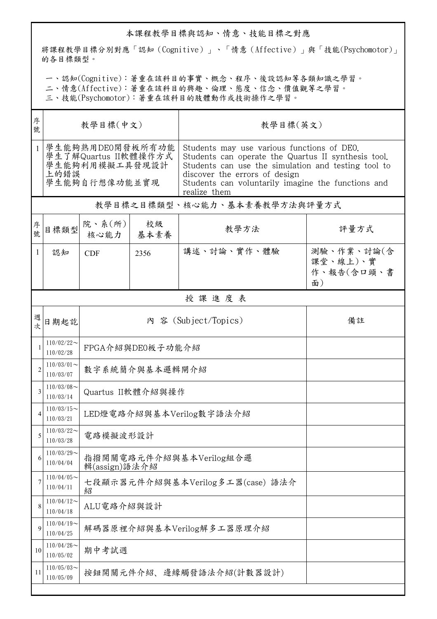## 本課程教學目標與認知、情意、技能目標之對應

將課程教學目標分別對應「認知(Cognitive)」、「情意(Affective)」與「技能(Psychomotor)」 的各目標類型。

一、認知(Cognitive):著重在該科目的事實、概念、程序、後設認知等各類知識之學習。

二、情意(Affective):著重在該科目的興趣、倫理、態度、信念、價值觀等之學習。

三、技能(Psychomotor):著重在該科目的肢體動作或技術操作之學習。

|                                                                                                     |                                  |            | 教學目標(英文)                                                                                                                                                                                                                                                        |                                              |  |  |
|-----------------------------------------------------------------------------------------------------|----------------------------------|------------|-----------------------------------------------------------------------------------------------------------------------------------------------------------------------------------------------------------------------------------------------------------------|----------------------------------------------|--|--|
| 學生能夠熟用DEO開發板所有功能<br>$\mathbf{1}$<br>學生了解Quartus II軟體操作方式<br>學生能夠利用模擬工具發現設計<br>上的錯誤<br>學生能夠自行想像功能並實現 |                                  |            | Students may use various functions of DEO.<br>Students can operate the Quartus II synthesis tool.<br>Students can use the simulation and testing tool to<br>discover the errors of design<br>Students can voluntarily imagine the functions and<br>realize them |                                              |  |  |
| 教學目標之目標類型、核心能力、基本素養教學方法與評量方式                                                                        |                                  |            |                                                                                                                                                                                                                                                                 |                                              |  |  |
| 目標類型                                                                                                | 院、系 $(\kappa)$<br>核心能力           | 校級<br>基本素養 | 教學方法                                                                                                                                                                                                                                                            | 評量方式                                         |  |  |
| 認知                                                                                                  | <b>CDF</b>                       | 2356       | 講述、討論、實作、體驗                                                                                                                                                                                                                                                     | 測驗、作業、討論(含<br>課堂、線上)、實<br>作、報告(含口頭、書<br>面)   |  |  |
| 授課進度表                                                                                               |                                  |            |                                                                                                                                                                                                                                                                 |                                              |  |  |
| 日期起訖                                                                                                | 內 容 (Subject/Topics)             |            |                                                                                                                                                                                                                                                                 | 備註                                           |  |  |
| $110/02/22$ ~<br>110/02/28                                                                          |                                  |            |                                                                                                                                                                                                                                                                 |                                              |  |  |
| $110/03/01$ ~<br>110/03/07                                                                          | 數字系統簡介與基本邏輯閘介紹                   |            |                                                                                                                                                                                                                                                                 |                                              |  |  |
| $110/03/08$ ~<br>110/03/14                                                                          | Quartus II軟體介紹與操作                |            |                                                                                                                                                                                                                                                                 |                                              |  |  |
| $110/03/15$ ~<br>110/03/21                                                                          |                                  |            |                                                                                                                                                                                                                                                                 |                                              |  |  |
| $110/03/22$ ~<br>110/03/28                                                                          | 電路模擬波形設計                         |            |                                                                                                                                                                                                                                                                 |                                              |  |  |
| $110/03/29$ ~<br>110/04/04                                                                          | 指撥開關電路元件介紹與基本Verilog組合邏          |            |                                                                                                                                                                                                                                                                 |                                              |  |  |
| $110/04/05$ ~<br>110/04/11                                                                          | 七段顯示器元件介紹與基本Verilog多工器(case) 語法介 |            |                                                                                                                                                                                                                                                                 |                                              |  |  |
| $110/04/12$ ~<br>110/04/18                                                                          | ALU電路介紹與設計                       |            |                                                                                                                                                                                                                                                                 |                                              |  |  |
| $110/04/19$ ~<br>110/04/25                                                                          | 解碼器原裡介紹與基本Verilog解多工器原理介紹        |            |                                                                                                                                                                                                                                                                 |                                              |  |  |
| $110/04/26$ ~<br>110/05/02                                                                          | 期中考試週                            |            |                                                                                                                                                                                                                                                                 |                                              |  |  |
| $110/05/03$ ~<br>110/05/09                                                                          | 按鈕開關元件介紹、邊緣觸發語法介紹(計數器設計)         |            |                                                                                                                                                                                                                                                                 |                                              |  |  |
|                                                                                                     |                                  | 紹          | 輯(assign)語法介紹                                                                                                                                                                                                                                                   | FPGA介紹與DE0板子功能介紹<br>LED燈電路介紹與基本Verilog數字語法介紹 |  |  |